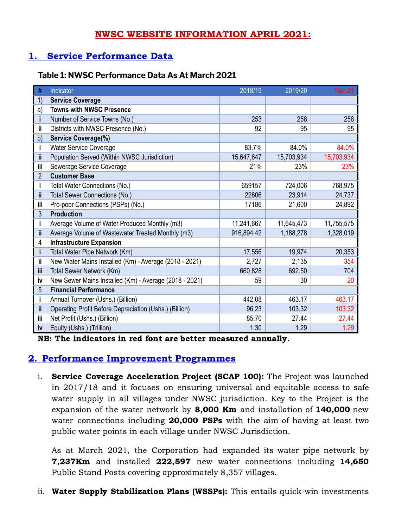## NWSC WEBSITE INFORMATION APRIL 2021:

# 1. Service Performance Data

### **Table 1: NWSC Performance Data As At March 2021**

| #              | Indicator                                              | 2018/19    | 2019/20    | <b>Mar-21</b> |
|----------------|--------------------------------------------------------|------------|------------|---------------|
| 1)             | <b>Service Coverage</b>                                |            |            |               |
| a)             | <b>Towns with NWSC Presence</b>                        |            |            |               |
|                | Number of Service Towns (No.)                          | 253        | 258        | 258           |
| ii             | Districts with NWSC Presence (No.)                     | 92         | 95         | 95            |
| b)             | Service Coverage(%)                                    |            |            |               |
|                | <b>Water Service Coverage</b>                          | 83.7%      | 84.0%      | 84.0%         |
| ii.            | Population Served (Within NWSC Jurisdiction)           | 15,647,647 | 15,703,934 | 15,703,934    |
| iii            | Sewerage Service Coverage                              | 21%        | 23%        | 23%           |
| $\overline{2}$ | <b>Customer Base</b>                                   |            |            |               |
|                | Total Water Connections (No.)                          | 659157     | 724,006    | 768,975       |
| ii.            | <b>Total Sewer Connections (No.)</b>                   | 22606      | 23,914     | 24,737        |
| iii            | Pro-poor Connections (PSPs) (No.)                      | 17186      | 21,600     | 24,892        |
| 3              | <b>Production</b>                                      |            |            |               |
|                | Average Volume of Water Produced Monthly (m3)          | 11,241,667 | 11,645,473 | 11,755,575    |
| Ϊİ             | Average Volume of Wastewater Treated Monthly (m3)      | 916,894.42 | 1,188,278  | 1,328,019     |
| 4              | <b>Infrastructure Expansion</b>                        |            |            |               |
|                | Total Water Pipe Network (Km)                          | 17,556     | 19,974     | 20,353        |
| ii             | New Water Mains Installed (Km) - Average (2018 - 2021) | 2,727      | 2,135      | 354           |
| iii            | Total Sewer Network (Km)                               | 660.828    | 692.50     | 704           |
| iv             | New Sewer Mains Installed (Km) - Average (2018 - 2021) | 59         | 30         | 20            |
| 5              | <b>Financial Performance</b>                           |            |            |               |
|                | Annual Turnover (Ushs.) (Billion)                      | 442.08     | 463.17     | 463.17        |
| ii             | Operating Profit Before Depreciation (Ushs.) (Billion) | 96.23      | 103.32     | 103.32        |
| iii            | Net Profit (Ushs.) (Billion)                           | 85.70      | 27.44      | 27.44         |
| iv             | Equity (Ushs.) (Trillion)                              | 1.30       | 1.29       | 1.29          |

NB: The indicators in red font are better measured annually.

## 2. Performance Improvement Programmes

i. Service Coverage Acceleration Project (SCAP 100): The Project was launched in 2017/18 and it focuses on ensuring universal and equitable access to safe water supply in all villages under NWSC jurisdiction. Key to the Project is the expansion of the water network by 8,000 Km and installation of 140,000 new water connections including **20,000 PSPs** with the aim of having at least two public water points in each village under NWSC Jurisdiction.

As at March 2021, the Corporation had expanded its water pipe network by 7,237Km and installed 222,597 new water connections including 14,650 Public Stand Posts covering approximately 8,357 villages.

ii. Water Supply Stabilization Plans (WSSPs): This entails quick-win investments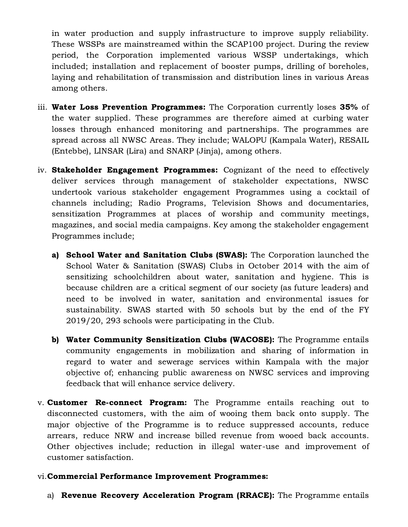in water production and supply infrastructure to improve supply reliability. These WSSPs are mainstreamed within the SCAP100 project. During the review period, the Corporation implemented various WSSP undertakings, which included; installation and replacement of booster pumps, drilling of boreholes, laying and rehabilitation of transmission and distribution lines in various Areas among others.

- iii. Water Loss Prevention Programmes: The Corporation currently loses 35% of the water supplied. These programmes are therefore aimed at curbing water losses through enhanced monitoring and partnerships. The programmes are spread across all NWSC Areas. They include; WALOPU (Kampala Water), RESAIL (Entebbe), LINSAR (Lira) and SNARP (Jinja), among others.
- iv. **Stakeholder Engagement Programmes:** Cognizant of the need to effectively deliver services through management of stakeholder expectations, NWSC undertook various stakeholder engagement Programmes using a cocktail of channels including; Radio Programs, Television Shows and documentaries, sensitization Programmes at places of worship and community meetings, magazines, and social media campaigns. Key among the stakeholder engagement Programmes include;
	- a) School Water and Sanitation Clubs (SWAS): The Corporation launched the School Water & Sanitation (SWAS) Clubs in October 2014 with the aim of sensitizing schoolchildren about water, sanitation and hygiene. This is because children are a critical segment of our society (as future leaders) and need to be involved in water, sanitation and environmental issues for sustainability. SWAS started with 50 schools but by the end of the FY 2019/20, 293 schools were participating in the Club.
	- b) Water Community Sensitization Clubs (WACOSE): The Programme entails community engagements in mobilization and sharing of information in regard to water and sewerage services within Kampala with the major objective of; enhancing public awareness on NWSC services and improving feedback that will enhance service delivery.
- v. **Customer Re-connect Program:** The Programme entails reaching out to disconnected customers, with the aim of wooing them back onto supply. The major objective of the Programme is to reduce suppressed accounts, reduce arrears, reduce NRW and increase billed revenue from wooed back accounts. Other objectives include; reduction in illegal water-use and improvement of customer satisfaction.

#### vi.Commercial Performance Improvement Programmes:

a) Revenue Recovery Acceleration Program (RRACE): The Programme entails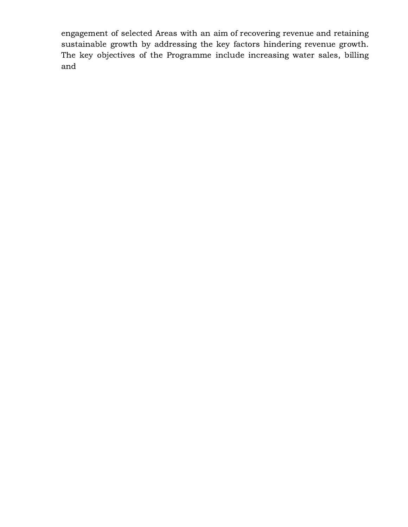engagement of selected Areas with an aim of recovering revenue and retaining sustainable growth by addressing the key factors hindering revenue growth. The key objectives of the Programme include increasing water sales, billing and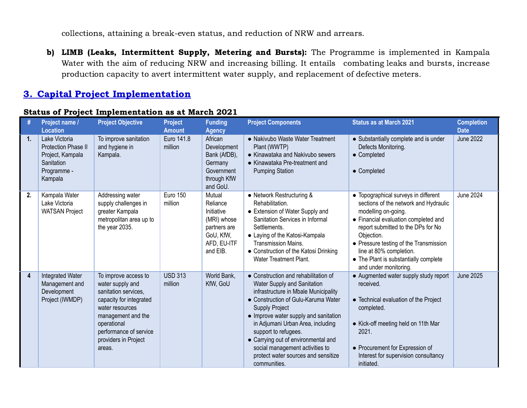collections, attaining a break-even status, and reduction of NRW and arrears.

b) LIMB (Leaks, Intermittent Supply, Metering and Bursts): The Programme is implemented in Kampala Water with the aim of reducing NRW and increasing billing. It entails combating leaks and bursts, increase production capacity to avert intermittent water supply, and replacement of defective meters.

## 3. Capital Project Implementation

|                | Project name /<br><b>Location</b>                                                                | <b>Project Objective</b>                                                                                                                                                                                        | <b>Project</b><br><b>Amount</b> | <b>Funding</b><br><b>Agency</b>                                                                         | <b>Project Components</b>                                                                                                                                                                                                                                                                                                                                                                                          | <b>Status as at March 2021</b>                                                                                                                                                                                                                                                                                                          | <b>Completion</b><br><b>Date</b> |
|----------------|--------------------------------------------------------------------------------------------------|-----------------------------------------------------------------------------------------------------------------------------------------------------------------------------------------------------------------|---------------------------------|---------------------------------------------------------------------------------------------------------|--------------------------------------------------------------------------------------------------------------------------------------------------------------------------------------------------------------------------------------------------------------------------------------------------------------------------------------------------------------------------------------------------------------------|-----------------------------------------------------------------------------------------------------------------------------------------------------------------------------------------------------------------------------------------------------------------------------------------------------------------------------------------|----------------------------------|
| 1.             | Lake Victoria<br>Protection Phase II<br>Project, Kampala<br>Sanitation<br>Programme -<br>Kampala | To improve sanitation<br>and hygiene in<br>Kampala.                                                                                                                                                             | Euro 141.8<br>million           | African<br>Development<br>Bank (AfDB),<br>Germany<br>Government<br>through KfW<br>and GoU.              | • Nakivubo Waste Water Treatment<br>Plant (WWTP)<br>• Kinawataka and Nakivubo sewers<br>• Kinawataka Pre-treatment and<br><b>Pumping Station</b>                                                                                                                                                                                                                                                                   | • Substantially complete and is under<br>Defects Monitoring.<br>• Completed<br>• Completed                                                                                                                                                                                                                                              | <b>June 2022</b>                 |
| 2.             | Kampala Water<br>Lake Victoria<br><b>WATSAN Project</b>                                          | Addressing water<br>supply challenges in<br>greater Kampala<br>metropolitan area up to<br>the year 2035.                                                                                                        | <b>Euro 150</b><br>million      | Mutual<br>Reliance<br>Initiative<br>(MRI) whose<br>partners are<br>GoU, KfW,<br>AFD, EU-ITF<br>and EIB. | • Network Restructuring &<br>Rehabilitation.<br>• Extension of Water Supply and<br>Sanitation Services in Informal<br>Settlements.<br>• Laying of the Katosi-Kampala<br><b>Transmission Mains.</b><br>• Construction of the Katosi Drinking<br>Water Treatment Plant.                                                                                                                                              | • Topographical surveys in different<br>sections of the network and Hydraulic<br>modelling on-going.<br>• Financial evaluation completed and<br>report submitted to the DPs for No<br>Objection.<br>• Pressure testing of the Transmission<br>line at 80% completion.<br>• The Plant is substantially complete<br>and under monitoring. | <b>June 2024</b>                 |
| $\overline{4}$ | Integrated Water<br>Management and<br>Development<br>Project (IWMDP)                             | To improve access to<br>water supply and<br>sanitation services,<br>capacity for integrated<br>water resources<br>management and the<br>operational<br>performance of service<br>providers in Project<br>areas. | <b>USD 313</b><br>million       | World Bank,<br>KfW, GoU                                                                                 | • Construction and rehabilitation of<br>Water Supply and Sanitation<br>infrastructure in Mbale Municipality<br>• Construction of Gulu-Karuma Water<br><b>Supply Project</b><br>• Improve water supply and sanitation<br>in Adjumani Urban Area, including<br>support to refugees.<br>• Carrying out of environmental and<br>social management activities to<br>protect water sources and sensitize<br>communities. | • Augmented water supply study report<br>received.<br>• Technical evaluation of the Project<br>completed.<br>• Kick-off meeting held on 11th Mar<br>2021.<br>• Procurement for Expression of<br>Interest for supervision consultancy<br>initiated.                                                                                      | <b>June 2025</b>                 |

#### Status of Project Implementation as at March 2021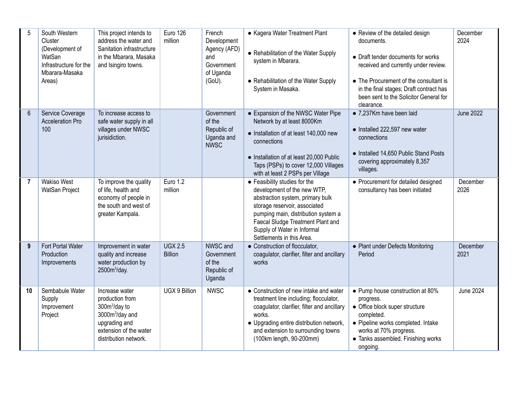| 5              | South Western<br>Cluster<br>(Development of<br>WatSan<br>Infrastructure for the<br>Mbarara-Masaka<br>Areas) | This project intends to<br>address the water and<br>Sanitation infrastructure<br>in the Mbarara, Masaka<br>and Isingiro towns.                         | Euro 126<br>million              | French<br>Development<br>Agency (AFD)<br>and<br>Government<br>of Uganda<br>(GoU). | • Kagera Water Treatment Plant<br>• Rehabilitation of the Water Supply<br>system in Mbarara.<br>• Rehabilitation of the Water Supply<br>System in Masaka.                                                                                                                 | • Review of the detailed design<br>documents.<br>• Draft tender documents for works<br>received and currently under review.<br>• The Procurement of the consultant is<br>in the final stages; Draft contract has<br>been sent to the Solicitor General for<br>clearance. | December<br>2024 |
|----------------|-------------------------------------------------------------------------------------------------------------|--------------------------------------------------------------------------------------------------------------------------------------------------------|----------------------------------|-----------------------------------------------------------------------------------|---------------------------------------------------------------------------------------------------------------------------------------------------------------------------------------------------------------------------------------------------------------------------|--------------------------------------------------------------------------------------------------------------------------------------------------------------------------------------------------------------------------------------------------------------------------|------------------|
| $6\phantom{1}$ | Service Coverage<br><b>Acceleration Pro</b><br>100                                                          | To increase access to<br>safe water supply in all<br>villages under NWSC<br>jurisidiction.                                                             |                                  | Government<br>of the<br>Republic of<br>Uganda and<br><b>NWSC</b>                  | • Expansion of the NWSC Water Pipe<br>Network by at least 8000Km<br>• Installation of at least 140,000 new<br>connections<br>• Installation of at least 20,000 Public<br>Taps (PSPs) to cover 12,000 Villages<br>with at least 2 PSPs per Village                         | • 7,237Km have been laid<br>• Installed 222,597 new water<br>connections<br>• Installed 14,650 Public Stand Posts<br>covering approximately 8,357<br>villages.                                                                                                           | <b>June 2022</b> |
| $\overline{7}$ | <b>Wakiso West</b><br>WatSan Project                                                                        | To improve the quality<br>of life, health and<br>economy of people in<br>the south and west of<br>greater Kampala.                                     | Euro 1.2<br>million              |                                                                                   | • Feasibility studies for the<br>development of the new WTP,<br>abstraction system, primary bulk<br>storage reservoir, associated<br>pumping main, distribution system a<br>Faecal Sludge Treatment Plant and<br>Supply of Water in Informal<br>Settlements in this Area. | • Procurement for detailed designed<br>consultancy has been initiated                                                                                                                                                                                                    | December<br>2026 |
| 9              | Fort Portal Water<br>Production<br>Improvements                                                             | Improvement in water<br>quality and increase<br>water production by<br>2500m <sup>3</sup> /day.                                                        | <b>UGX 2.5</b><br><b>Billion</b> | NWSC and<br>Government<br>of the<br>Republic of<br>Uganda                         | • Construction of flocculator,<br>coagulator, clarifier, filter and ancillary<br>works                                                                                                                                                                                    | • Plant under Defects Monitoring<br>Period                                                                                                                                                                                                                               | December<br>2021 |
| 10             | Sembabule Water<br>Supply<br>Improvement<br>Project                                                         | Increase water<br>production from<br>$300m3/day$ to<br>3000m <sup>3</sup> /day and<br>upgrading and<br>extension of the water<br>distribution network. | UGX 9 Billion                    | <b>NWSC</b>                                                                       | • Construction of new intake and water<br>treatment line including; flocculator,<br>coagulator, clarifier, filter and ancillary<br>works.<br>• Upgrading entire distribution network,<br>and extension to surrounding towns<br>(100km length, 90-200mm)                   | • Pump house construction at 80%<br>progress.<br>• Office block super structure<br>completed.<br>· Pipeline works completed. Intake<br>works at 70% progress.<br>• Tanks assembled. Finishing works<br>ongoing.                                                          | June 2024        |